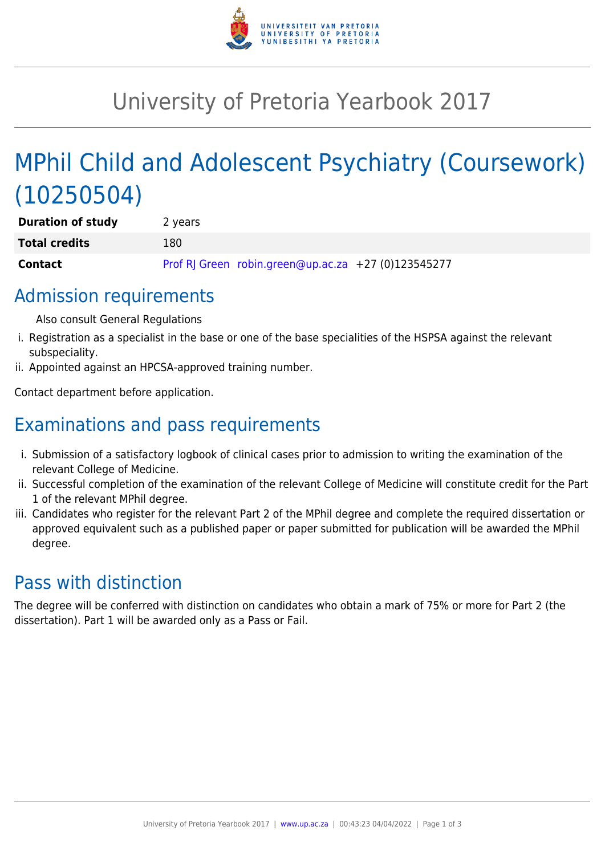

# University of Pretoria Yearbook 2017

# MPhil Child and Adolescent Psychiatry (Coursework) (10250504)

| <b>Duration of study</b> | 2 years |                                                     |  |
|--------------------------|---------|-----------------------------------------------------|--|
| <b>Total credits</b>     | 180     |                                                     |  |
| <b>Contact</b>           |         | Prof RJ Green robin.green@up.ac.za +27 (0)123545277 |  |

## Admission requirements

Also consult General Regulations

- i. Registration as a specialist in the base or one of the base specialities of the HSPSA against the relevant subspeciality.
- ii. Appointed against an HPCSA-approved training number.

Contact department before application.

## Examinations and pass requirements

- i. Submission of a satisfactory logbook of clinical cases prior to admission to writing the examination of the relevant College of Medicine.
- ii. Successful completion of the examination of the relevant College of Medicine will constitute credit for the Part 1 of the relevant MPhil degree.
- iii. Candidates who register for the relevant Part 2 of the MPhil degree and complete the required dissertation or approved equivalent such as a published paper or paper submitted for publication will be awarded the MPhil degree.

## Pass with distinction

The degree will be conferred with distinction on candidates who obtain a mark of 75% or more for Part 2 (the dissertation). Part 1 will be awarded only as a Pass or Fail.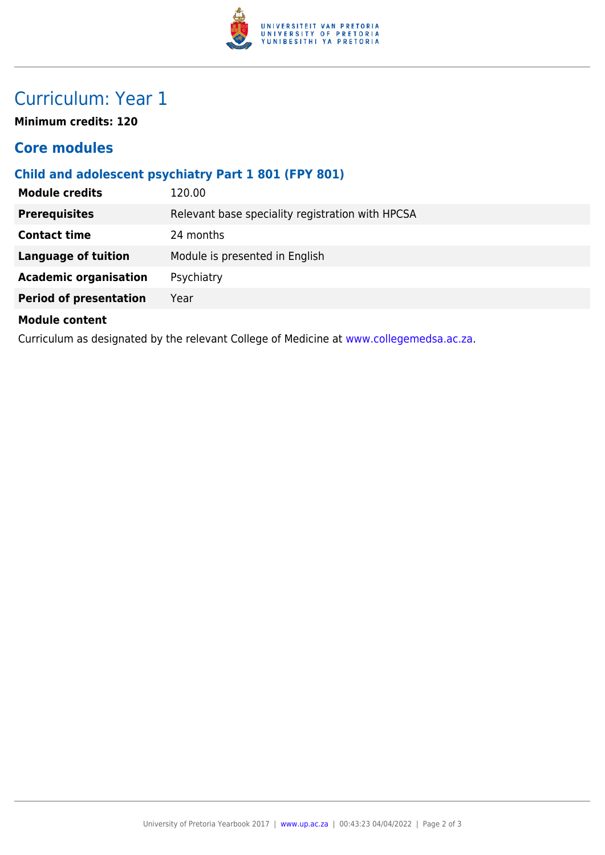

## Curriculum: Year 1

**Minimum credits: 120**

### **Core modules**

#### **Child and adolescent psychiatry Part 1 801 (FPY 801)**

| <b>Module credits</b>                                                                   | 120.00                                           |  |
|-----------------------------------------------------------------------------------------|--------------------------------------------------|--|
| <b>Prerequisites</b>                                                                    | Relevant base speciality registration with HPCSA |  |
| <b>Contact time</b>                                                                     | 24 months                                        |  |
| <b>Language of tuition</b>                                                              | Module is presented in English                   |  |
| <b>Academic organisation</b>                                                            | Psychiatry                                       |  |
| <b>Period of presentation</b>                                                           | Year                                             |  |
| <b>Module content</b>                                                                   |                                                  |  |
| Curriculum as designated by the relevant College of Medicine at www.collegemedsa.ac.za. |                                                  |  |